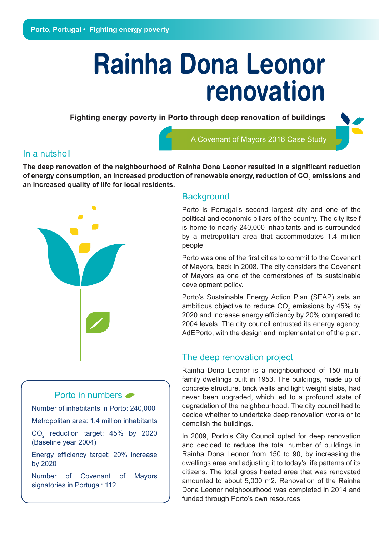# **Rainha Dona Leonor renovation**

**Fighting energy poverty in Porto through deep renovation of buildings** 

A Covenant of Mayors 2016 Case Study

#### In a nutshell

**The deep renovation of the neighbourhood of Rainha Dona Leonor resulted in a significant reduction of energy consumption, an increased production of renewable energy, reduction of CO<sup>2</sup> emissions and an increased quality of life for local residents.**



## **Background**

Porto is Portugal's second largest city and one of the political and economic pillars of the country. The city itself is home to nearly 240,000 inhabitants and is surrounded by a metropolitan area that accommodates 1.4 million people.

Porto was one of the first cities to commit to the Covenant of Mayors, back in 2008. The city considers the Covenant of Mayors as one of the cornerstones of its sustainable development policy.

Porto's Sustainable Energy Action Plan (SEAP) sets an ambitious objective to reduce  $CO_2$  emissions by 45% by 2020 and increase energy efficiency by 20% compared to 2004 levels. The city council entrusted its energy agency, AdEPorto, with the design and implementation of the plan.

## The deep renovation project

Rainha Dona Leonor is a neighbourhood of 150 multifamily dwellings built in 1953. The buildings, made up of concrete structure, brick walls and light weight slabs, had never been upgraded, which led to a profound state of degradation of the neighbourhood. The city council had to decide whether to undertake deep renovation works or to demolish the buildings.

In 2009, Porto's City Council opted for deep renovation and decided to reduce the total number of buildings in Rainha Dona Leonor from 150 to 90, by increasing the dwellings area and adjusting it to today's life patterns of its citizens. The total gross heated area that was renovated amounted to about 5,000 m2. Renovation of the Rainha Dona Leonor neighbourhood was completed in 2014 and funded through Porto's own resources.

### Porto in numbers  $\bullet$

Number of inhabitants in Porto: 240,000

Metropolitan area: 1.4 million inhabitants

 $CO<sub>2</sub>$  reduction target: 45% by 2020 (Baseline year 2004)

Energy efficiency target: 20% increase by 2020

Number of Covenant of Mayors signatories in Portugal: 112